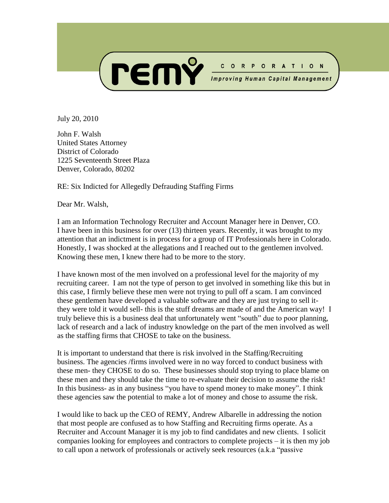

July 20, 2010

John F. Walsh United States Attorney District of Colorado 1225 Seventeenth Street Plaza Denver, Colorado, 80202

RE: Six Indicted for Allegedly Defrauding Staffing Firms

Dear Mr. Walsh,

I am an Information Technology Recruiter and Account Manager here in Denver, CO. I have been in this business for over (13) thirteen years. Recently, it was brought to my attention that an indictment is in process for a group of IT Professionals here in Colorado. Honestly, I was shocked at the allegations and I reached out to the gentlemen involved. Knowing these men, I knew there had to be more to the story.

I have known most of the men involved on a professional level for the majority of my recruiting career. I am not the type of person to get involved in something like this but in this case, I firmly believe these men were not trying to pull off a scam. I am convinced these gentlemen have developed a valuable software and they are just trying to sell itthey were told it would sell- this is the stuff dreams are made of and the American way! I truly believe this is a business deal that unfortunately went "south" due to poor planning, lack of research and a lack of industry knowledge on the part of the men involved as well as the staffing firms that CHOSE to take on the business.

It is important to understand that there is risk involved in the Staffing/Recruiting business. The agencies /firms involved were in no way forced to conduct business with these men- they CHOSE to do so. These businesses should stop trying to place blame on these men and they should take the time to re-evaluate their decision to assume the risk! In this business- as in any business "you have to spend money to make money". I think these agencies saw the potential to make a lot of money and chose to assume the risk.

I would like to back up the CEO of REMY, Andrew Albarelle in addressing the notion that most people are confused as to how Staffing and Recruiting firms operate. As a Recruiter and Account Manager it is my job to find candidates and new clients. I solicit companies looking for employees and contractors to complete projects – it is then my job to call upon a network of professionals or actively seek resources (a.k.a "passive